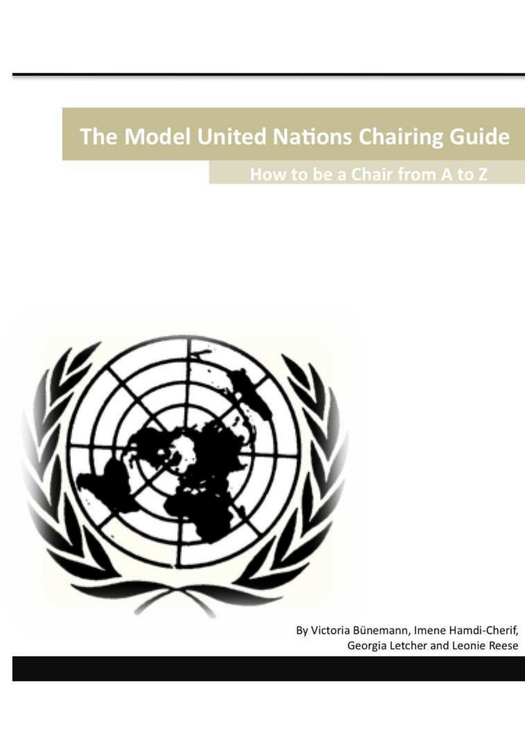# The Model United Nations Chairing Guide

How to be a Chair from A to Z



By Victoria Bünemann, Imene Hamdi-Cherif, Georgia Letcher and Leonie Reese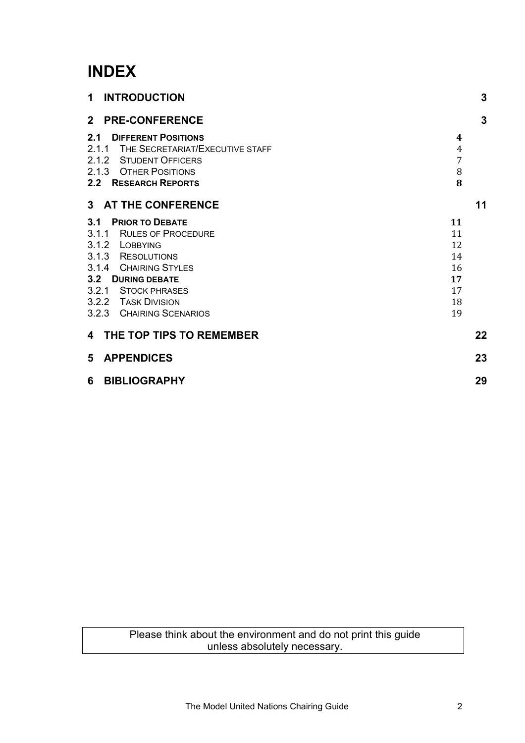# **INDEX**

| 1 INTRODUCTION                                                                                                                                                                                                 | 3                                                  |  |
|----------------------------------------------------------------------------------------------------------------------------------------------------------------------------------------------------------------|----------------------------------------------------|--|
| <b>2 PRE-CONFERENCE</b>                                                                                                                                                                                        | 3                                                  |  |
| 2.1 DIFFERENT POSITIONS<br>2.1.1 THE SECRETARIAT/EXECUTIVE STAFF<br>2.1.2 STUDENT OFFICERS<br>2.1.3 OTHER POSITIONS<br>2.2 RESEARCH REPORTS                                                                    | 4<br>4<br>7<br>8<br>8                              |  |
| 3 AT THE CONFERENCE                                                                                                                                                                                            | 11                                                 |  |
| 3.1 PRIOR TO DEBATE<br>3.1.1 RULES OF PROCEDURE<br>3.1.2 LOBBYING<br>3.1.3 RESOLUTIONS<br>3.1.4 CHAIRING STYLES<br>3.2 DURING DEBATE<br>3.2.1 STOCK PHRASES<br>3.2.2 TASK DIVISION<br>3.2.3 CHAIRING SCENARIOS | 11<br>11<br>12<br>14<br>16<br>17<br>17<br>18<br>19 |  |
| 4 THE TOP TIPS TO REMEMBER                                                                                                                                                                                     | 22                                                 |  |
| 5 APPENDICES                                                                                                                                                                                                   | 23                                                 |  |
| 6 BIBLIOGRAPHY                                                                                                                                                                                                 | 29                                                 |  |

Please think about the environment and do not print this guide unless absolutely necessary.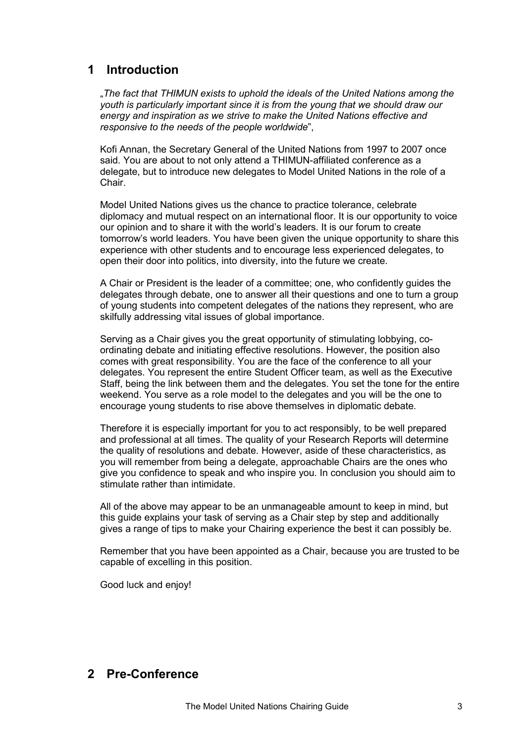## <span id="page-2-0"></span>**1 Introduction**

"*The fact that THIMUN exists to uphold the ideals of the United Nations among the youth is particularly important since it is from the young that we should draw our energy and inspiration as we strive to make the United Nations effective and responsive to the needs of the people worldwide*",

Kofi Annan, the Secretary General of the United Nations from 1997 to 2007 once said. You are about to not only attend a THIMUN-affiliated conference as a delegate, but to introduce new delegates to Model United Nations in the role of a Chair.

Model United Nations gives us the chance to practice tolerance, celebrate diplomacy and mutual respect on an international floor. It is our opportunity to voice our opinion and to share it with the world's leaders. It is our forum to create tomorrow's world leaders. You have been given the unique opportunity to share this experience with other students and to encourage less experienced delegates, to open their door into politics, into diversity, into the future we create.

A Chair or President is the leader of a committee; one, who confidently guides the delegates through debate, one to answer all their questions and one to turn a group of young students into competent delegates of the nations they represent, who are skilfully addressing vital issues of global importance.

Serving as a Chair gives you the great opportunity of stimulating lobbying, coordinating debate and initiating effective resolutions. However, the position also comes with great responsibility. You are the face of the conference to all your delegates. You represent the entire Student Officer team, as well as the Executive Staff, being the link between them and the delegates. You set the tone for the entire weekend. You serve as a role model to the delegates and you will be the one to encourage young students to rise above themselves in diplomatic debate.

Therefore it is especially important for you to act responsibly, to be well prepared and professional at all times. The quality of your Research Reports will determine the quality of resolutions and debate. However, aside of these characteristics, as you will remember from being a delegate, approachable Chairs are the ones who give you confidence to speak and who inspire you. In conclusion you should aim to stimulate rather than intimidate.

All of the above may appear to be an unmanageable amount to keep in mind, but this guide explains your task of serving as a Chair step by step and additionally gives a range of tips to make your Chairing experience the best it can possibly be.

Remember that you have been appointed as a Chair, because you are trusted to be capable of excelling in this position.

Good luck and enjoy!

### **2 Pre-Conference**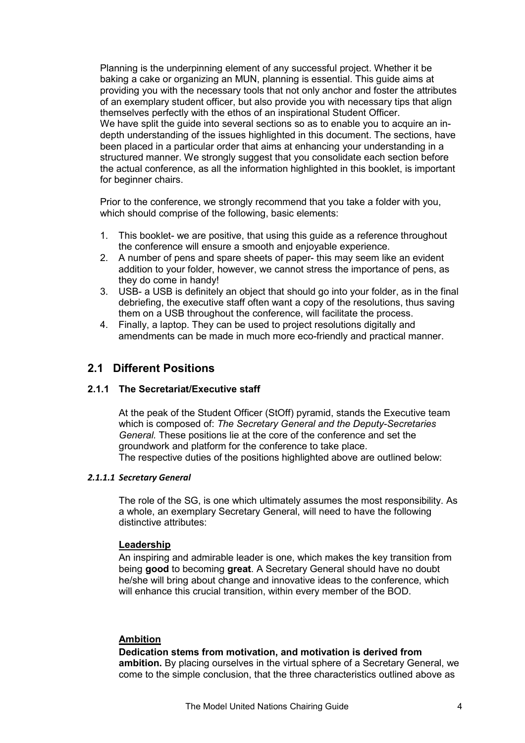<span id="page-3-0"></span>Planning is the underpinning element of any successful project. Whether it be baking a cake or organizing an MUN, planning is essential. This guide aims at providing you with the necessary tools that not only anchor and foster the attributes of an exemplary student officer, but also provide you with necessary tips that align themselves perfectly with the ethos of an inspirational Student Officer. We have split the guide into several sections so as to enable you to acquire an indepth understanding of the issues highlighted in this document. The sections, have been placed in a particular order that aims at enhancing your understanding in a structured manner. We strongly suggest that you consolidate each section before the actual conference, as all the information highlighted in this booklet, is important for beginner chairs.

Prior to the conference, we strongly recommend that you take a folder with you, which should comprise of the following, basic elements:

- 1. This booklet- we are positive, that using this guide as a reference throughout the conference will ensure a smooth and enjoyable experience.
- 2. A number of pens and spare sheets of paper- this may seem like an evident addition to your folder, however, we cannot stress the importance of pens, as they do come in handy!
- 3. USB- a USB is definitely an object that should go into your folder, as in the final debriefing, the executive staff often want a copy of the resolutions, thus saving them on a USB throughout the conference, will facilitate the process.
- 4. Finally, a laptop. They can be used to project resolutions digitally and amendments can be made in much more eco-friendly and practical manner.

#### **2.1 Different Positions**

#### **2.1.1 The Secretariat/Executive staff**

At the peak of the Student Officer (StOff) pyramid, stands the Executive team which is composed of: *The Secretary General and the Deputy-Secretaries General.* These positions lie at the core of the conference and set the groundwork and platform for the conference to take place. The respective duties of the positions highlighted above are outlined below:

#### *2.1.1.1 Secretary General*

The role of the SG, is one which ultimately assumes the most responsibility. As a whole, an exemplary Secretary General, will need to have the following distinctive attributes:

#### **Leadership**

An inspiring and admirable leader is one, which makes the key transition from being **good** to becoming **great**. A Secretary General should have no doubt he/she will bring about change and innovative ideas to the conference, which will enhance this crucial transition, within every member of the BOD.

#### **Ambition**

#### **Dedication stems from motivation, and motivation is derived from**

**ambition.** By placing ourselves in the virtual sphere of a Secretary General, we come to the simple conclusion, that the three characteristics outlined above as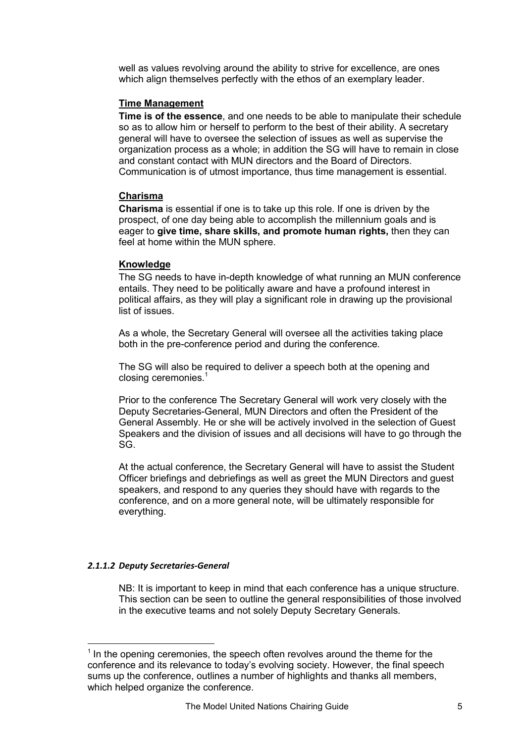well as values revolving around the ability to strive for excellence, are ones which align themselves perfectly with the ethos of an exemplary leader.

#### **Time Management**

**Time is of the essence**, and one needs to be able to manipulate their schedule so as to allow him or herself to perform to the best of their ability. A secretary general will have to oversee the selection of issues as well as supervise the organization process as a whole; in addition the SG will have to remain in close and constant contact with MUN directors and the Board of Directors. Communication is of utmost importance, thus time management is essential.

#### **Charisma**

**Charisma** is essential if one is to take up this role. If one is driven by the prospect, of one day being able to accomplish the millennium goals and is eager to **give time, share skills, and promote human rights,** then they can feel at home within the MUN sphere.

#### **Knowledge**

The SG needs to have in-depth knowledge of what running an MUN conference entails. They need to be politically aware and have a profound interest in political affairs, as they will play a significant role in drawing up the provisional list of issues.

As a whole, the Secretary General will oversee all the activities taking place both in the pre-conference period and during the conference.

The SG will also be required to deliver a speech both at the opening and closing ceremonies. $1$ 

Prior to the conference The Secretary General will work very closely with the Deputy Secretaries-General, MUN Directors and often the President of the General Assembly. He or she will be actively involved in the selection of Guest Speakers and the division of issues and all decisions will have to go through the SG.

At the actual conference, the Secretary General will have to assist the Student Officer briefings and debriefings as well as greet the MUN Directors and guest speakers, and respond to any queries they should have with regards to the conference, and on a more general note, will be ultimately responsible for everything.

#### *2.1.1.2 Deputy Secretaries-General*

 $\overline{a}$ 

NB: It is important to keep in mind that each conference has a unique structure. This section can be seen to outline the general responsibilities of those involved in the executive teams and not solely Deputy Secretary Generals.

<sup>&</sup>lt;sup>1</sup> In the opening ceremonies, the speech often revolves around the theme for the conference and its relevance to today's evolving society. However, the final speech sums up the conference, outlines a number of highlights and thanks all members, which helped organize the conference.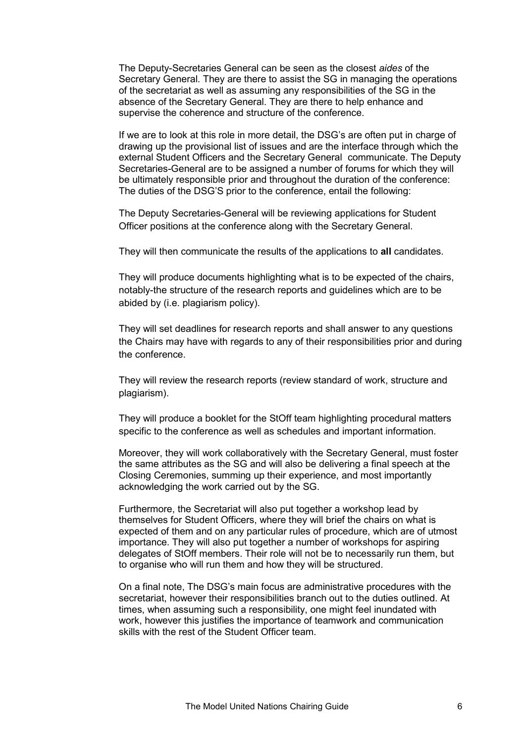The Deputy-Secretaries General can be seen as the closest *aides* of the Secretary General. They are there to assist the SG in managing the operations of the secretariat as well as assuming any responsibilities of the SG in the absence of the Secretary General. They are there to help enhance and supervise the coherence and structure of the conference.

If we are to look at this role in more detail, the DSG's are often put in charge of drawing up the provisional list of issues and are the interface through which the external Student Officers and the Secretary General communicate. The Deputy Secretaries-General are to be assigned a number of forums for which they will be ultimately responsible prior and throughout the duration of the conference: The duties of the DSG'S prior to the conference, entail the following:

The Deputy Secretaries-General will be reviewing applications for Student Officer positions at the conference along with the Secretary General.

They will then communicate the results of the applications to **all** candidates.

They will produce documents highlighting what is to be expected of the chairs, notably-the structure of the research reports and guidelines which are to be abided by (i.e. plagiarism policy).

They will set deadlines for research reports and shall answer to any questions the Chairs may have with regards to any of their responsibilities prior and during the conference.

They will review the research reports (review standard of work, structure and plagiarism).

They will produce a booklet for the StOff team highlighting procedural matters specific to the conference as well as schedules and important information.

Moreover, they will work collaboratively with the Secretary General, must foster the same attributes as the SG and will also be delivering a final speech at the Closing Ceremonies, summing up their experience, and most importantly acknowledging the work carried out by the SG.

Furthermore, the Secretariat will also put together a workshop lead by themselves for Student Officers, where they will brief the chairs on what is expected of them and on any particular rules of procedure, which are of utmost importance. They will also put together a number of workshops for aspiring delegates of StOff members. Their role will not be to necessarily run them, but to organise who will run them and how they will be structured.

On a final note, The DSG's main focus are administrative procedures with the secretariat, however their responsibilities branch out to the duties outlined. At times, when assuming such a responsibility, one might feel inundated with work, however this justifies the importance of teamwork and communication skills with the rest of the Student Officer team.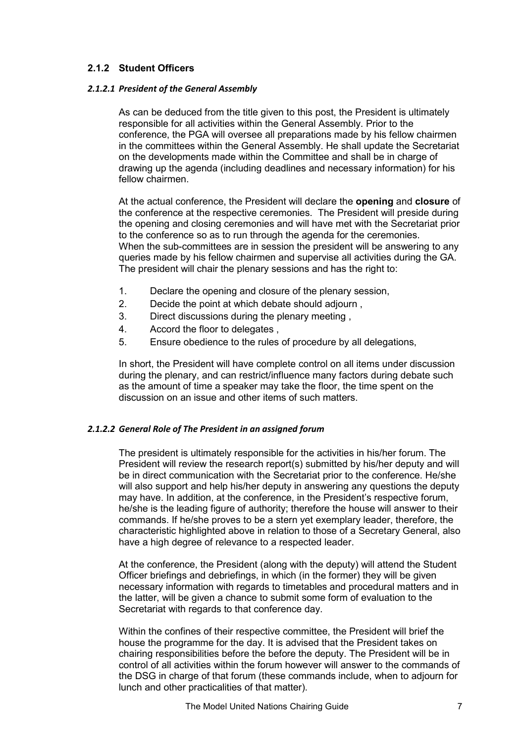#### <span id="page-6-0"></span>**2.1.2 Student Officers**

#### *2.1.2.1 President of the General Assembly*

As can be deduced from the title given to this post, the President is ultimately responsible for all activities within the General Assembly. Prior to the conference, the PGA will oversee all preparations made by his fellow chairmen in the committees within the General Assembly. He shall update the Secretariat on the developments made within the Committee and shall be in charge of drawing up the agenda (including deadlines and necessary information) for his fellow chairmen.

At the actual conference, the President will declare the **opening** and **closure** of the conference at the respective ceremonies. The President will preside during the opening and closing ceremonies and will have met with the Secretariat prior to the conference so as to run through the agenda for the ceremonies. When the sub-committees are in session the president will be answering to any queries made by his fellow chairmen and supervise all activities during the GA. The president will chair the plenary sessions and has the right to:

- 1. Declare the opening and closure of the plenary session,
- 2. Decide the point at which debate should adjourn ,
- 3. Direct discussions during the plenary meeting ,
- 4. Accord the floor to delegates ,
- 5. Ensure obedience to the rules of procedure by all delegations,

In short, the President will have complete control on all items under discussion during the plenary, and can restrict/influence many factors during debate such as the amount of time a speaker may take the floor, the time spent on the discussion on an issue and other items of such matters.

#### *2.1.2.2 General Role of The President in an assigned forum*

The president is ultimately responsible for the activities in his/her forum. The President will review the research report(s) submitted by his/her deputy and will be in direct communication with the Secretariat prior to the conference. He/she will also support and help his/her deputy in answering any questions the deputy may have. In addition, at the conference, in the President's respective forum, he/she is the leading figure of authority; therefore the house will answer to their commands. If he/she proves to be a stern yet exemplary leader, therefore, the characteristic highlighted above in relation to those of a Secretary General, also have a high degree of relevance to a respected leader.

At the conference, the President (along with the deputy) will attend the Student Officer briefings and debriefings, in which (in the former) they will be given necessary information with regards to timetables and procedural matters and in the latter, will be given a chance to submit some form of evaluation to the Secretariat with regards to that conference day.

Within the confines of their respective committee, the President will brief the house the programme for the day. It is advised that the President takes on chairing responsibilities before the before the deputy. The President will be in control of all activities within the forum however will answer to the commands of the DSG in charge of that forum (these commands include, when to adjourn for lunch and other practicalities of that matter).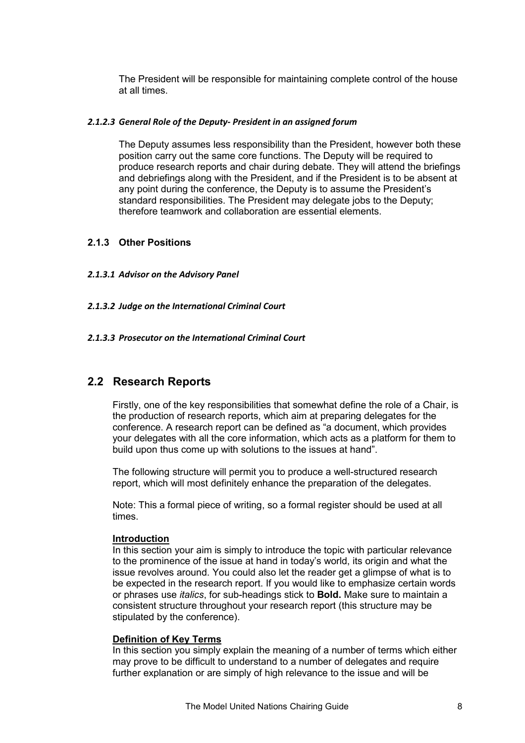<span id="page-7-0"></span>The President will be responsible for maintaining complete control of the house at all times.

#### *2.1.2.3 General Role of the Deputy- President in an assigned forum*

The Deputy assumes less responsibility than the President, however both these position carry out the same core functions. The Deputy will be required to produce research reports and chair during debate. They will attend the briefings and debriefings along with the President, and if the President is to be absent at any point during the conference, the Deputy is to assume the President's standard responsibilities. The President may delegate jobs to the Deputy; therefore teamwork and collaboration are essential elements.

#### **2.1.3 Other Positions**

#### *2.1.3.1 Advisor on the Advisory Panel*

*2.1.3.2 Judge on the International Criminal Court* 

#### *2.1.3.3 Prosecutor on the International Criminal Court*

#### **2.2 Research Reports**

Firstly, one of the key responsibilities that somewhat define the role of a Chair, is the production of research reports, which aim at preparing delegates for the conference. A research report can be defined as "a document, which provides your delegates with all the core information, which acts as a platform for them to build upon thus come up with solutions to the issues at hand".

The following structure will permit you to produce a well-structured research report, which will most definitely enhance the preparation of the delegates.

Note: This a formal piece of writing, so a formal register should be used at all times.

#### **Introduction**

In this section your aim is simply to introduce the topic with particular relevance to the prominence of the issue at hand in today's world, its origin and what the issue revolves around. You could also let the reader get a glimpse of what is to be expected in the research report. If you would like to emphasize certain words or phrases use *italics*, for sub-headings stick to **Bold.** Make sure to maintain a consistent structure throughout your research report (this structure may be stipulated by the conference).

#### **Definition of Key Terms**

In this section you simply explain the meaning of a number of terms which either may prove to be difficult to understand to a number of delegates and require further explanation or are simply of high relevance to the issue and will be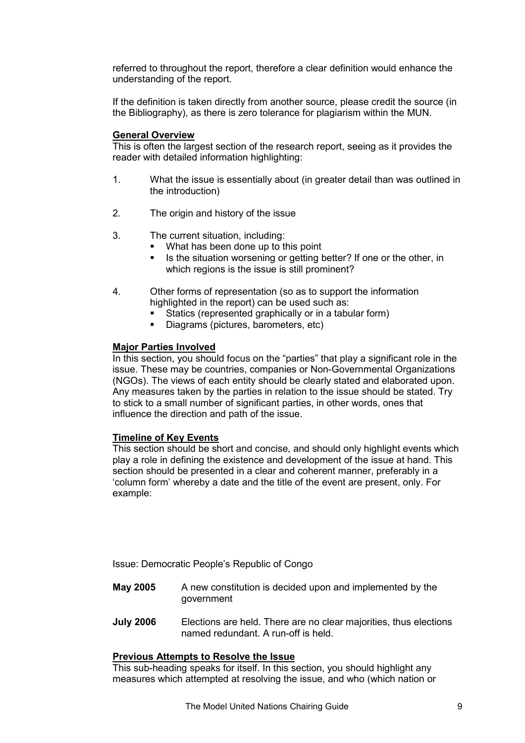referred to throughout the report, therefore a clear definition would enhance the understanding of the report.

If the definition is taken directly from another source, please credit the source (in the Bibliography), as there is zero tolerance for plagiarism within the MUN.

#### **General Overview**

This is often the largest section of the research report, seeing as it provides the reader with detailed information highlighting:

- 1. What the issue is essentially about (in greater detail than was outlined in the introduction)
- 2. The origin and history of the issue
- 3. The current situation, including:
	- What has been done up to this point
	- Is the situation worsening or getting better? If one or the other, in which regions is the issue is still prominent?
- 4. Other forms of representation (so as to support the information highlighted in the report) can be used such as:
	- Statics (represented graphically or in a tabular form)
	- § Diagrams (pictures, barometers, etc)

#### **Major Parties Involved**

In this section, you should focus on the "parties" that play a significant role in the issue. These may be countries, companies or Non-Governmental Organizations (NGOs). The views of each entity should be clearly stated and elaborated upon. Any measures taken by the parties in relation to the issue should be stated. Try to stick to a small number of significant parties, in other words, ones that influence the direction and path of the issue.

#### **Timeline of Key Events**

This section should be short and concise, and should only highlight events which play a role in defining the existence and development of the issue at hand. This section should be presented in a clear and coherent manner, preferably in a 'column form' whereby a date and the title of the event are present, only. For example:

Issue: Democratic People's Republic of Congo

- **May 2005** A new constitution is decided upon and implemented by the government
- **July 2006** Elections are held. There are no clear majorities, thus elections named redundant. A run-off is held.

#### **Previous Attempts to Resolve the Issue**

This sub-heading speaks for itself. In this section, you should highlight any measures which attempted at resolving the issue, and who (which nation or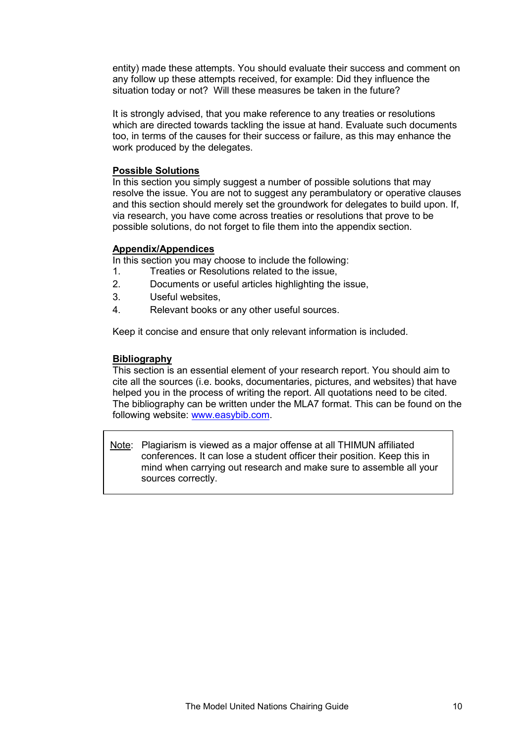entity) made these attempts. You should evaluate their success and comment on any follow up these attempts received, for example: Did they influence the situation today or not? Will these measures be taken in the future?

It is strongly advised, that you make reference to any treaties or resolutions which are directed towards tackling the issue at hand. Evaluate such documents too, in terms of the causes for their success or failure, as this may enhance the work produced by the delegates.

#### **Possible Solutions**

In this section you simply suggest a number of possible solutions that may resolve the issue. You are not to suggest any perambulatory or operative clauses and this section should merely set the groundwork for delegates to build upon. If, via research, you have come across treaties or resolutions that prove to be possible solutions, do not forget to file them into the appendix section.

#### **Appendix/Appendices**

In this section you may choose to include the following:

- 1. Treaties or Resolutions related to the issue,
- 2. Documents or useful articles highlighting the issue,
- 3. Useful websites,
- 4. Relevant books or any other useful sources.

Keep it concise and ensure that only relevant information is included.

#### **Bibliography**

This section is an essential element of your research report. You should aim to cite all the sources (i.e. books, documentaries, pictures, and websites) that have helped you in the process of writing the report. All quotations need to be cited. The bibliography can be written under the MLA7 format. This can be found on the following website: www.easybib.com.

Note: Plagiarism i[s viewed as a majo](http://www.easybib.com/)r offense at all THIMUN affiliated conferences. It can lose a student officer their position. Keep this in mind when carrying out research and make sure to assemble all your sources correctly.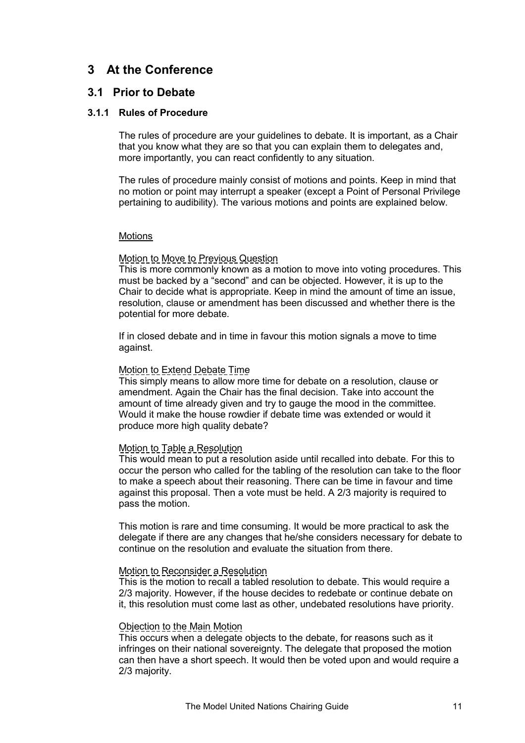### <span id="page-10-0"></span>**3 At the Conference**

#### **3.1 Prior to Debate**

#### **3.1.1 Rules of Procedure**

The rules of procedure are your guidelines to debate. It is important, as a Chair that you know what they are so that you can explain them to delegates and, more importantly, you can react confidently to any situation.

The rules of procedure mainly consist of motions and points. Keep in mind that no motion or point may interrupt a speaker (except a Point of Personal Privilege pertaining to audibility). The various motions and points are explained below.

#### Motions

#### Motion to Move to Previous Question

This is more commonly known as a motion to move into voting procedures. This must be backed by a "second" and can be objected. However, it is up to the Chair to decide what is appropriate. Keep in mind the amount of time an issue, resolution, clause or amendment has been discussed and whether there is the potential for more debate.

If in closed debate and in time in favour this motion signals a move to time against.

#### Motion to Extend Debate Time

This simply means to allow more time for debate on a resolution, clause or amendment. Again the Chair has the final decision. Take into account the amount of time already given and try to gauge the mood in the committee. Would it make the house rowdier if debate time was extended or would it produce more high quality debate?

#### Motion to Table a Resolution

This would mean to put a resolution aside until recalled into debate. For this to occur the person who called for the tabling of the resolution can take to the floor to make a speech about their reasoning. There can be time in favour and time against this proposal. Then a vote must be held. A 2/3 majority is required to pass the motion.

This motion is rare and time consuming. It would be more practical to ask the delegate if there are any changes that he/she considers necessary for debate to continue on the resolution and evaluate the situation from there.

#### Motion to Reconsider a Resolution

This is the motion to recall a tabled resolution to debate. This would require a 2/3 majority. However, if the house decides to redebate or continue debate on it, this resolution must come last as other, undebated resolutions have priority.

#### Objection to the Main Motion

This occurs when a delegate objects to the debate, for reasons such as it infringes on their national sovereignty. The delegate that proposed the motion can then have a short speech. It would then be voted upon and would require a 2/3 majority.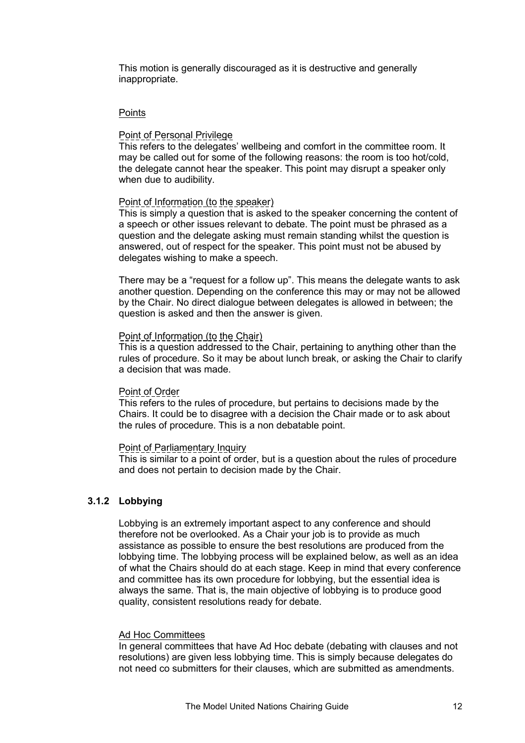<span id="page-11-0"></span>This motion is generally discouraged as it is destructive and generally inappropriate.

#### **Points**

#### Point of Personal Privilege

This refers to the delegates' wellbeing and comfort in the committee room. It may be called out for some of the following reasons: the room is too hot/cold, the delegate cannot hear the speaker. This point may disrupt a speaker only when due to audibility.

#### Point of Information (to the speaker)

This is simply a question that is asked to the speaker concerning the content of a speech or other issues relevant to debate. The point must be phrased as a question and the delegate asking must remain standing whilst the question is answered, out of respect for the speaker. This point must not be abused by delegates wishing to make a speech.

There may be a "request for a follow up". This means the delegate wants to ask another question. Depending on the conference this may or may not be allowed by the Chair. No direct dialogue between delegates is allowed in between; the question is asked and then the answer is given.

#### Point of Information (to the Chair)

This is a question addressed to the Chair, pertaining to anything other than the rules of procedure. So it may be about lunch break, or asking the Chair to clarify a decision that was made.

#### Point of Order

This refers to the rules of procedure, but pertains to decisions made by the Chairs. It could be to disagree with a decision the Chair made or to ask about the rules of procedure. This is a non debatable point.

#### Point of Parliamentary Inquiry

This is similar to a point of order, but is a question about the rules of procedure and does not pertain to decision made by the Chair.

#### **3.1.2 Lobbying**

Lobbying is an extremely important aspect to any conference and should therefore not be overlooked. As a Chair your job is to provide as much assistance as possible to ensure the best resolutions are produced from the lobbying time. The lobbying process will be explained below, as well as an idea of what the Chairs should do at each stage. Keep in mind that every conference and committee has its own procedure for lobbying, but the essential idea is always the same. That is, the main objective of lobbying is to produce good quality, consistent resolutions ready for debate.

#### Ad Hoc Committees

In general committees that have Ad Hoc debate (debating with clauses and not resolutions) are given less lobbying time. This is simply because delegates do not need co submitters for their clauses, which are submitted as amendments.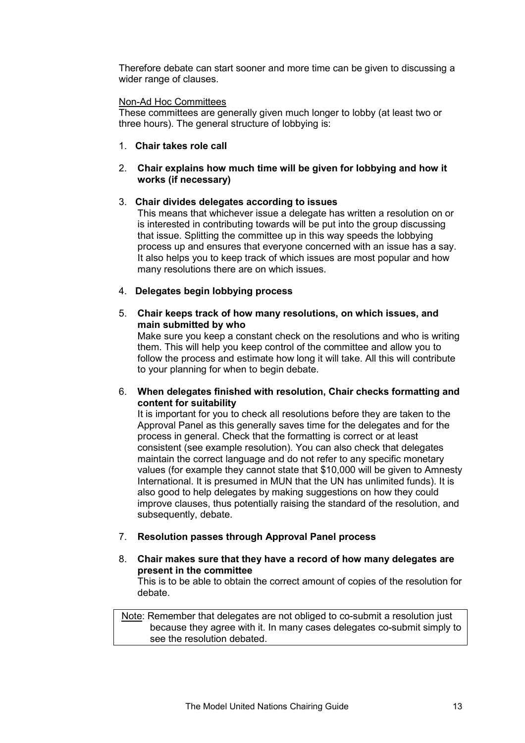Therefore debate can start sooner and more time can be given to discussing a wider range of clauses.

#### Non-Ad Hoc Committees

These committees are generally given much longer to lobby (at least two or three hours). The general structure of lobbying is:

1. **Chair takes role call** 

#### 2. **Chair explains how much time will be given for lobbying and how it works (if necessary)**

#### 3. **Chair divides delegates according to issues**

This means that whichever issue a delegate has written a resolution on or is interested in contributing towards will be put into the group discussing that issue. Splitting the committee up in this way speeds the lobbying process up and ensures that everyone concerned with an issue has a say. It also helps you to keep track of which issues are most popular and how many resolutions there are on which issues.

#### 4. **Delegates begin lobbying process**

#### 5. **Chair keeps track of how many resolutions, on which issues, and main submitted by who**

Make sure you keep a constant check on the resolutions and who is writing them. This will help you keep control of the committee and allow you to follow the process and estimate how long it will take. All this will contribute to your planning for when to begin debate.

#### 6. **When delegates finished with resolution, Chair checks formatting and content for suitability**

It is important for you to check all resolutions before they are taken to the Approval Panel as this generally saves time for the delegates and for the process in general. Check that the formatting is correct or at least consistent (see example resolution). You can also check that delegates maintain the correct language and do not refer to any specific monetary values (for example they cannot state that \$10,000 will be given to Amnesty International. It is presumed in MUN that the UN has unlimited funds). It is also good to help delegates by making suggestions on how they could improve clauses, thus potentially raising the standard of the resolution, and subsequently, debate.

#### 7. **Resolution passes through Approval Panel process**

#### 8. **Chair makes sure that they have a record of how many delegates are present in the committee**

This is to be able to obtain the correct amount of copies of the resolution for debate.

 Note: Remember that delegates are not obliged to co-submit a resolution just because they agree with it. In many cases delegates co-submit simply to see the resolution debated.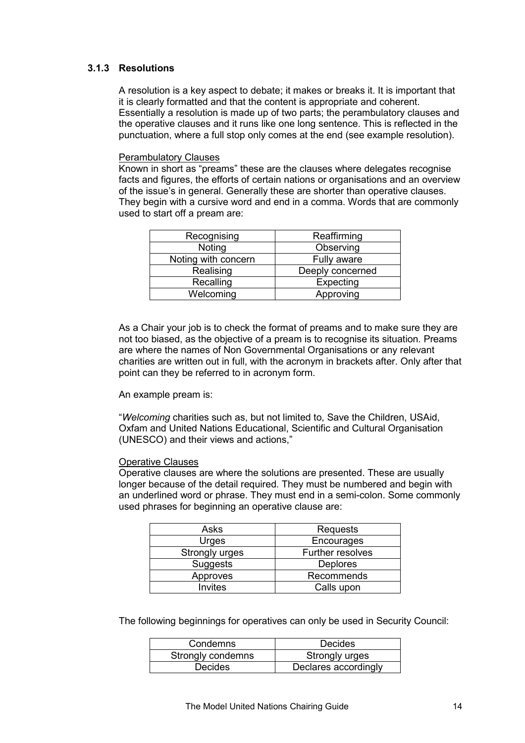#### <span id="page-13-0"></span>**3.1.3 Resolutions**

A resolution is a key aspect to debate; it makes or breaks it. It is important that it is clearly formatted and that the content is appropriate and coherent. Essentially a resolution is made up of two parts; the perambulatory clauses and the operative clauses and it runs like one long sentence. This is reflected in the punctuation, where a full stop only comes at the end (see example resolution).

#### Perambulatory Clauses

Known in short as "preams" these are the clauses where delegates recognise facts and figures, the efforts of certain nations or organisations and an overview of the issue's in general. Generally these are shorter than operative clauses. They begin with a cursive word and end in a comma. Words that are commonly used to start off a pream are:

| Recognising         | Reaffirming      |  |  |
|---------------------|------------------|--|--|
| Noting              | Observing        |  |  |
| Noting with concern | Fully aware      |  |  |
| Realising           | Deeply concerned |  |  |
| Recalling           | Expecting        |  |  |
| Welcoming           | Approving        |  |  |

As a Chair your job is to check the format of preams and to make sure they are not too biased, as the objective of a pream is to recognise its situation. Preams are where the names of Non Governmental Organisations or any relevant charities are written out in full, with the acronym in brackets after. Only after that point can they be referred to in acronym form.

#### An example pream is:

"*Welcoming* charities such as, but not limited to, Save the Children, USAid, Oxfam and United Nations Educational, Scientific and Cultural Organisation (UNESCO) and their views and actions,"

#### **Operative Clauses**

Operative clauses are where the solutions are presented. These are usually longer because of the detail required. They must be numbered and begin with an underlined word or phrase. They must end in a semi-colon. Some commonly used phrases for beginning an operative clause are:

| Asks            | Requests         |  |
|-----------------|------------------|--|
| Urges           | Encourages       |  |
| Strongly urges  | Further resolves |  |
| <b>Suggests</b> | <b>Deplores</b>  |  |
| Approves        | Recommends       |  |
| <b>Invites</b>  | Calls upon       |  |

The following beginnings for operatives can only be used in Security Council:

| Condemns          | Decides              |  |
|-------------------|----------------------|--|
| Strongly condemns | Strongly urges       |  |
| <b>Decides</b>    | Declares accordingly |  |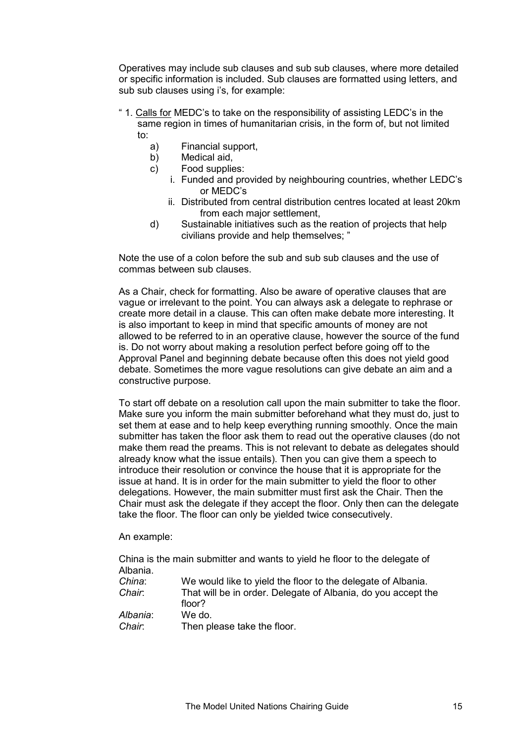Operatives may include sub clauses and sub sub clauses, where more detailed or specific information is included. Sub clauses are formatted using letters, and sub sub clauses using i's, for example:

- " 1. Calls for MEDC's to take on the responsibility of assisting LEDC's in the same region in times of humanitarian crisis, in the form of, but not limited to:
	- a) Financial support,
	- b) Medical aid,
	- c) Food supplies:
		- i. Funded and provided by neighbouring countries, whether LEDC's or MEDC's
		- ii. Distributed from central distribution centres located at least 20km from each major settlement,
	- d) Sustainable initiatives such as the reation of projects that help civilians provide and help themselves; "

Note the use of a colon before the sub and sub sub clauses and the use of commas between sub clauses.

As a Chair, check for formatting. Also be aware of operative clauses that are vague or irrelevant to the point. You can always ask a delegate to rephrase or create more detail in a clause. This can often make debate more interesting. It is also important to keep in mind that specific amounts of money are not allowed to be referred to in an operative clause, however the source of the fund is. Do not worry about making a resolution perfect before going off to the Approval Panel and beginning debate because often this does not yield good debate. Sometimes the more vague resolutions can give debate an aim and a constructive purpose.

To start off debate on a resolution call upon the main submitter to take the floor. Make sure you inform the main submitter beforehand what they must do, just to set them at ease and to help keep everything running smoothly. Once the main submitter has taken the floor ask them to read out the operative clauses (do not make them read the preams. This is not relevant to debate as delegates should already know what the issue entails). Then you can give them a speech to introduce their resolution or convince the house that it is appropriate for the issue at hand. It is in order for the main submitter to yield the floor to other delegations. However, the main submitter must first ask the Chair. Then the Chair must ask the delegate if they accept the floor. Only then can the delegate take the floor. The floor can only be yielded twice consecutively.

An example:

China is the main submitter and wants to yield he floor to the delegate of Albania. *China*: We would like to yield the floor to the delegate of Albania. *Chair*: That will be in order. Delegate of Albania, do you accept the floor? *Albania*: We do. *Chair*: Then please take the floor.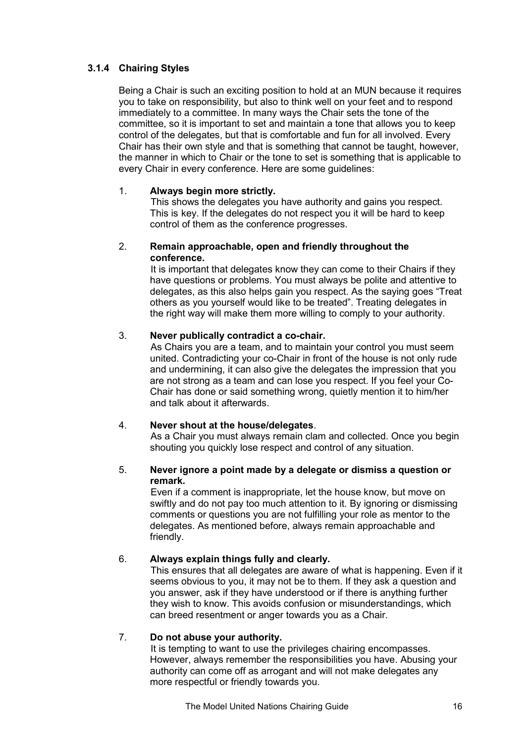#### <span id="page-15-0"></span>**3.1.4 Chairing Styles**

Being a Chair is such an exciting position to hold at an MUN because it requires you to take on responsibility, but also to think well on your feet and to respond immediately to a committee. In many ways the Chair sets the tone of the committee, so it is important to set and maintain a tone that allows you to keep control of the delegates, but that is comfortable and fun for all involved. Every Chair has their own style and that is something that cannot be taught, however, the manner in which to Chair or the tone to set is something that is applicable to every Chair in every conference. Here are some guidelines:

#### 1. **Always begin more strictly.**

This shows the delegates you have authority and gains you respect. This is key. If the delegates do not respect you it will be hard to keep control of them as the conference progresses.

#### 2. **Remain approachable, open and friendly throughout the conference.**

It is important that delegates know they can come to their Chairs if they have questions or problems. You must always be polite and attentive to delegates, as this also helps gain you respect. As the saying goes "Treat others as you yourself would like to be treated". Treating delegates in the right way will make them more willing to comply to your authority.

#### 3. **Never publically contradict a co-chair.**

As Chairs you are a team, and to maintain your control you must seem united. Contradicting your co-Chair in front of the house is not only rude and undermining, it can also give the delegates the impression that you are not strong as a team and can lose you respect. If you feel your Co-Chair has done or said something wrong, quietly mention it to him/her and talk about it afterwards.

#### 4. **Never shout at the house/delegates**.

As a Chair you must always remain clam and collected. Once you begin shouting you quickly lose respect and control of any situation.

#### 5. **Never ignore a point made by a delegate or dismiss a question or remark.**

Even if a comment is inappropriate, let the house know, but move on swiftly and do not pay too much attention to it. By ignoring or dismissing comments or questions you are not fulfilling your role as mentor to the delegates. As mentioned before, always remain approachable and friendly.

#### 6. **Always explain things fully and clearly.**

This ensures that all delegates are aware of what is happening. Even if it seems obvious to you, it may not be to them. If they ask a question and you answer, ask if they have understood or if there is anything further they wish to know. This avoids confusion or misunderstandings, which can breed resentment or anger towards you as a Chair.

#### 7. **Do not abuse your authority.**

It is tempting to want to use the privileges chairing encompasses. However, always remember the responsibilities you have. Abusing your authority can come off as arrogant and will not make delegates any more respectful or friendly towards you.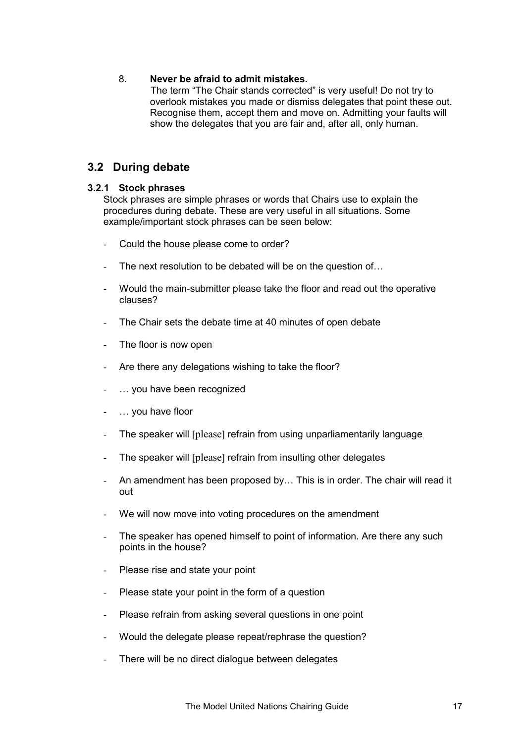#### <span id="page-16-0"></span>8. **Never be afraid to admit mistakes.**

The term "The Chair stands corrected" is very useful! Do not try to overlook mistakes you made or dismiss delegates that point these out. Recognise them, accept them and move on. Admitting your faults will show the delegates that you are fair and, after all, only human.

#### **3.2 During debate**

#### **3.2.1 Stock phrases**

Stock phrases are simple phrases or words that Chairs use to explain the procedures during debate. These are very useful in all situations. Some example/important stock phrases can be seen below:

- Could the house please come to order?
- The next resolution to be debated will be on the question of...
- Would the main-submitter please take the floor and read out the operative clauses?
- The Chair sets the debate time at 40 minutes of open debate
- The floor is now open
- Are there any delegations wishing to take the floor?
- ... you have been recognized
- ... you have floor
- The speaker will [please] refrain from using unparliamentarily language
- The speaker will [please] refrain from insulting other delegates
- An amendment has been proposed by… This is in order. The chair will read it out
- We will now move into voting procedures on the amendment
- The speaker has opened himself to point of information. Are there any such points in the house?
- Please rise and state your point
- Please state your point in the form of a question
- Please refrain from asking several questions in one point
- Would the delegate please repeat/rephrase the question?
- There will be no direct dialogue between delegates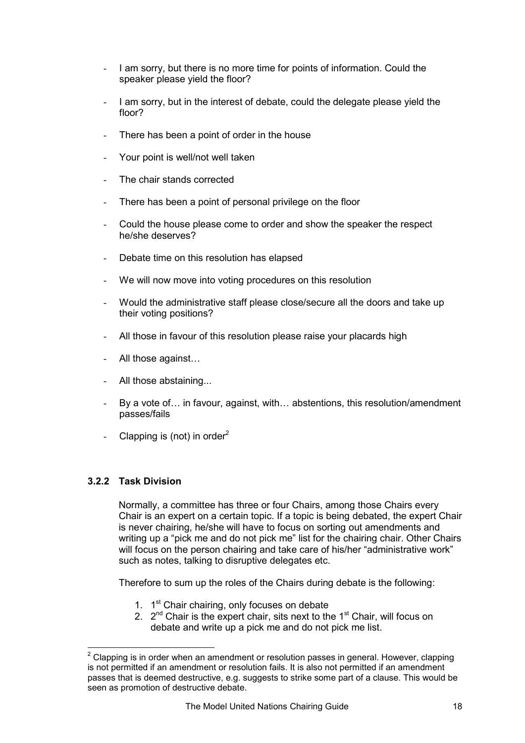- <span id="page-17-0"></span>I am sorry, but there is no more time for points of information. Could the speaker please yield the floor?
- I am sorry, but in the interest of debate, could the delegate please yield the floor?
- There has been a point of order in the house
- Your point is well/not well taken
- The chair stands corrected
- There has been a point of personal privilege on the floor
- Could the house please come to order and show the speaker the respect he/she deserves?
- Debate time on this resolution has elapsed
- We will now move into voting procedures on this resolution
- Would the administrative staff please close/secure all the doors and take up their voting positions?
- All those in favour of this resolution please raise your placards high
- All those against...
- All those abstaining...
- By a vote of… in favour, against, with… abstentions, this resolution/amendment passes/fails
- Clapping is (not) in order<sup>2</sup>

#### **3.2.2 Task Division**

 $\overline{a}$ 

Normally, a committee has three or four Chairs, among those Chairs every Chair is an expert on a certain topic. If a topic is being debated, the expert Chair is never chairing, he/she will have to focus on sorting out amendments and writing up a "pick me and do not pick me" list for the chairing chair. Other Chairs will focus on the person chairing and take care of his/her "administrative work" such as notes, talking to disruptive delegates etc.

Therefore to sum up the roles of the Chairs during debate is the following:

- 1. 1<sup>st</sup> Chair chairing, only focuses on debate
- 2.  $2^{nd}$  Chair is the expert chair, sits next to the 1<sup>st</sup> Chair, will focus on debate and write up a pick me and do not pick me list.

 $2$  Clapping is in order when an amendment or resolution passes in general. However, clapping is not permitted if an amendment or resolution fails. It is also not permitted if an amendment passes that is deemed destructive, e.g. suggests to strike some part of a clause. This would be seen as promotion of destructive debate.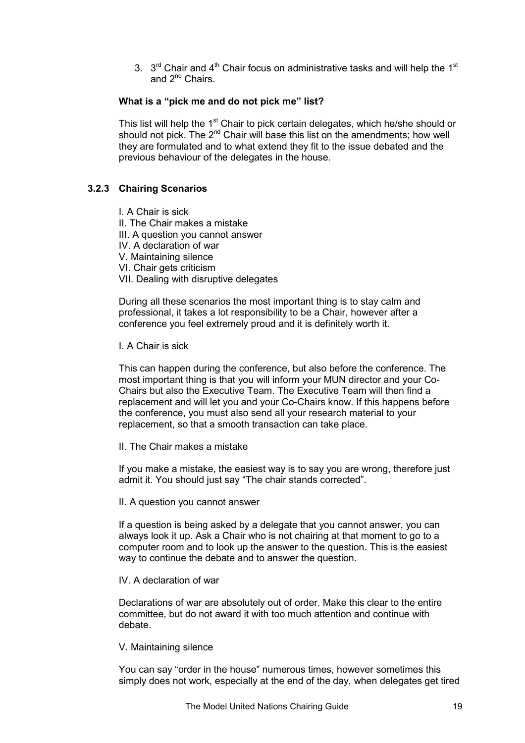<span id="page-18-0"></span>3.  $3<sup>rd</sup>$  Chair and 4<sup>th</sup> Chair focus on administrative tasks and will help the 1<sup>st</sup> and 2<sup>nd</sup> Chairs.

#### **What is a "pick me and do not pick me" list?**

This list will help the  $1<sup>st</sup>$  Chair to pick certain delegates, which he/she should or should not pick. The  $2^{nd}$  Chair will base this list on the amendments; how well they are formulated and to what extend they fit to the issue debated and the previous behaviour of the delegates in the house.

#### **3.2.3 Chairing Scenarios**

I. A Chair is sick II. The Chair makes a mistake III. A question you cannot answer IV. A declaration of war V. Maintaining silence VI. Chair gets criticism VII. Dealing with disruptive delegates

During all these scenarios the most important thing is to stay calm and professional, it takes a lot responsibility to be a Chair, however after a conference you feel extremely proud and it is definitely worth it.

I. A Chair is sick

This can happen during the conference, but also before the conference. The most important thing is that you will inform your MUN director and your Co-Chairs but also the Executive Team. The Executive Team will then find a replacement and will let you and your Co-Chairs know. If this happens before the conference, you must also send all your research material to your replacement, so that a smooth transaction can take place.

II. The Chair makes a mistake

If you make a mistake, the easiest way is to say you are wrong, therefore just admit it. You should just say "The chair stands corrected".

#### II. A question you cannot answer

If a question is being asked by a delegate that you cannot answer, you can always look it up. Ask a Chair who is not chairing at that moment to go to a computer room and to look up the answer to the question. This is the easiest way to continue the debate and to answer the question.

IV. A declaration of war

Declarations of war are absolutely out of order. Make this clear to the entire committee, but do not award it with too much attention and continue with debate.

V. Maintaining silence

You can say "order in the house" numerous times, however sometimes this simply does not work, especially at the end of the day, when delegates get tired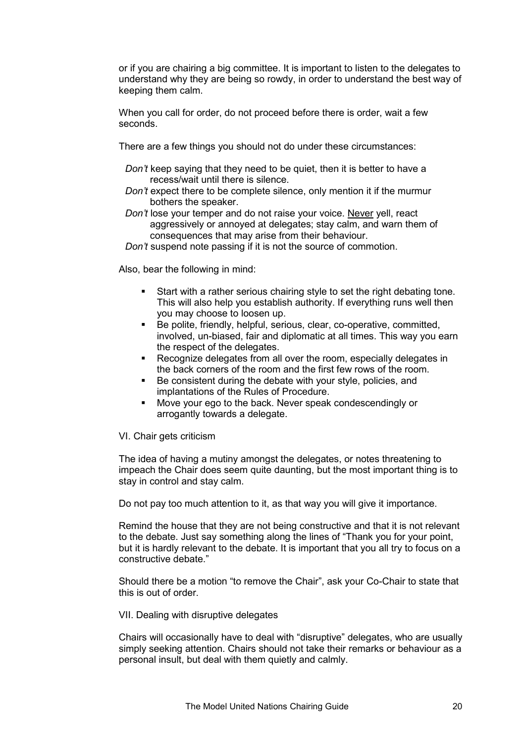or if you are chairing a big committee. It is important to listen to the delegates to understand why they are being so rowdy, in order to understand the best way of keeping them calm.

When you call for order, do not proceed before there is order, wait a few seconds.

There are a few things you should not do under these circumstances:

- *Don't* keep saying that they need to be quiet, then it is better to have a recess/wait until there is silence.
- *Don't* expect there to be complete silence, only mention it if the murmur bothers the speaker.
- *Don't* lose your temper and do not raise your voice. Never yell, react aggressively or annoyed at delegates; stay calm, and warn them of consequences that may arise from their behaviour.
- *Don't* suspend note passing if it is not the source of commotion.

Also, bear the following in mind:

- Start with a rather serious chairing style to set the right debating tone. This will also help you establish authority. If everything runs well then you may choose to loosen up.
- Be polite, friendly, helpful, serious, clear, co-operative, committed, involved, un-biased, fair and diplomatic at all times. This way you earn the respect of the delegates.
- Recognize delegates from all over the room, especially delegates in the back corners of the room and the first few rows of the room.
- Be consistent during the debate with your style, policies, and implantations of the Rules of Procedure.
- Move your ego to the back. Never speak condescendingly or arrogantly towards a delegate.

VI. Chair gets criticism

The idea of having a mutiny amongst the delegates, or notes threatening to impeach the Chair does seem quite daunting, but the most important thing is to stay in control and stay calm.

Do not pay too much attention to it, as that way you will give it importance.

Remind the house that they are not being constructive and that it is not relevant to the debate. Just say something along the lines of "Thank you for your point, but it is hardly relevant to the debate. It is important that you all try to focus on a constructive debate."

Should there be a motion "to remove the Chair", ask your Co-Chair to state that this is out of order.

VII. Dealing with disruptive delegates

Chairs will occasionally have to deal with "disruptive" delegates, who are usually simply seeking attention. Chairs should not take their remarks or behaviour as a personal insult, but deal with them quietly and calmly.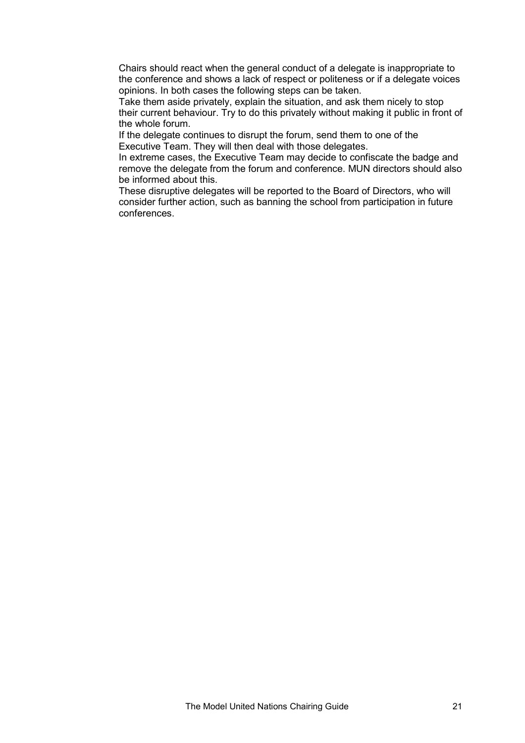Chairs should react when the general conduct of a delegate is inappropriate to the conference and shows a lack of respect or politeness or if a delegate voices opinions. In both cases the following steps can be taken.

Take them aside privately, explain the situation, and ask them nicely to stop their current behaviour. Try to do this privately without making it public in front of the whole forum.

If the delegate continues to disrupt the forum, send them to one of the Executive Team. They will then deal with those delegates.

In extreme cases, the Executive Team may decide to confiscate the badge and remove the delegate from the forum and conference. MUN directors should also be informed about this.

These disruptive delegates will be reported to the Board of Directors, who will consider further action, such as banning the school from participation in future conferences.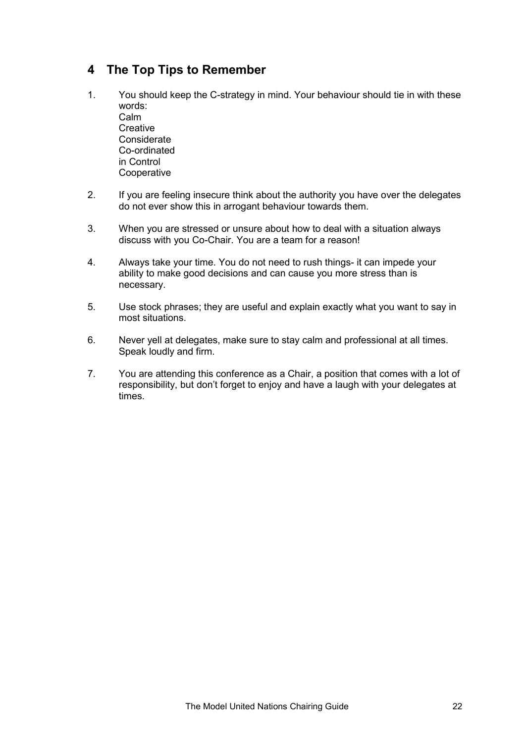# <span id="page-21-0"></span>**4 The Top Tips to Remember**

- 1. You should keep the C-strategy in mind. Your behaviour should tie in with these words: Calm **Creative Considerate**  Co-ordinated in Control **Cooperative**
- 2. If you are feeling insecure think about the authority you have over the delegates do not ever show this in arrogant behaviour towards them.
- 3. When you are stressed or unsure about how to deal with a situation always discuss with you Co-Chair. You are a team for a reason!
- 4. Always take your time. You do not need to rush things- it can impede your ability to make good decisions and can cause you more stress than is necessary.
- 5. Use stock phrases; they are useful and explain exactly what you want to say in most situations.
- 6. Never yell at delegates, make sure to stay calm and professional at all times. Speak loudly and firm.
- 7. You are attending this conference as a Chair, a position that comes with a lot of responsibility, but don't forget to enjoy and have a laugh with your delegates at times.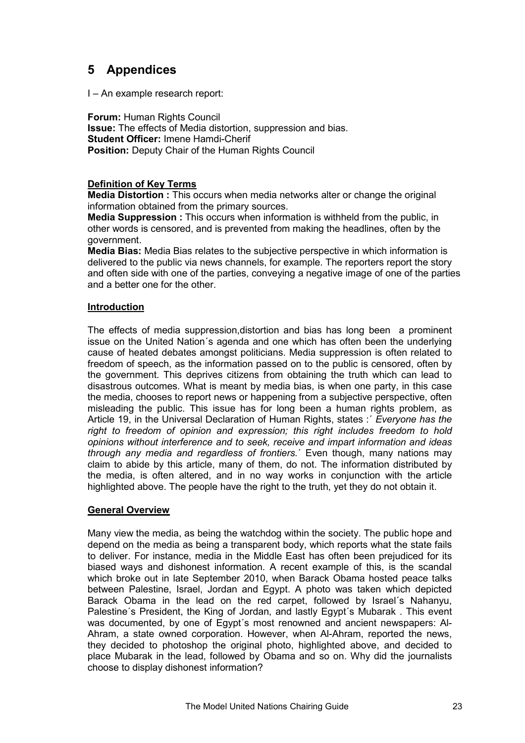# <span id="page-22-0"></span>**5 Appendices**

I – An example research report:

**Forum:** Human Rights Council **Issue:** The effects of Media distortion, suppression and bias. **Student Officer:** Imene Hamdi-Cherif **Position: Deputy Chair of the Human Rights Council** 

#### **Definition of Key Terms**

**Media Distortion :** This occurs when media networks alter or change the original information obtained from the primary sources.

**Media Suppression :** This occurs when information is withheld from the public, in other words is censored, and is prevented from making the headlines, often by the government.

**Media Bias:** Media Bias relates to the subjective perspective in which information is delivered to the public via news channels, for example. The reporters report the story and often side with one of the parties, conveying a negative image of one of the parties and a better one for the other.

#### **Introduction**

The effects of media suppression,distortion and bias has long been a prominent issue on the United Nation´s agenda and one which has often been the underlying cause of heated debates amongst politicians. Media suppression is often related to freedom of speech, as the information passed on to the public is censored, often by the government. This deprives citizens from obtaining the truth which can lead to disastrous outcomes. What is meant by media bias, is when one party, in this case the media, chooses to report news or happening from a subjective perspective, often misleading the public. This issue has for long been a human rights problem, as Article 19, in the Universal Declaration of Human Rights, states :´ *Everyone has the right to freedom of opinion and expression; this right includes freedom to hold opinions without interference and to seek, receive and impart information and ideas through any media and regardless of frontiers.*´ Even though, many nations may claim to abide by this article, many of them, do not. The information distributed by the media, is often altered, and in no way works in conjunction with the article highlighted above. The people have the right to the truth, yet they do not obtain it.

#### **General Overview**

Many view the media, as being the watchdog within the society. The public hope and depend on the media as being a transparent body, which reports what the state fails to deliver. For instance, media in the Middle East has often been prejudiced for its biased ways and dishonest information. A recent example of this, is the scandal which broke out in late September 2010, when Barack Obama hosted peace talks between Palestine, Israel, Jordan and Egypt. A photo was taken which depicted Barack Obama in the lead on the red carpet, followed by Israel´s Nahanyu, Palestine´s President, the King of Jordan, and lastly Egypt´s Mubarak . This event was documented, by one of Egypt´s most renowned and ancient newspapers: Al-Ahram, a state owned corporation. However, when Al-Ahram, reported the news, they decided to photoshop the original photo, highlighted above, and decided to place Mubarak in the lead, followed by Obama and so on. Why did the journalists choose to display dishonest information?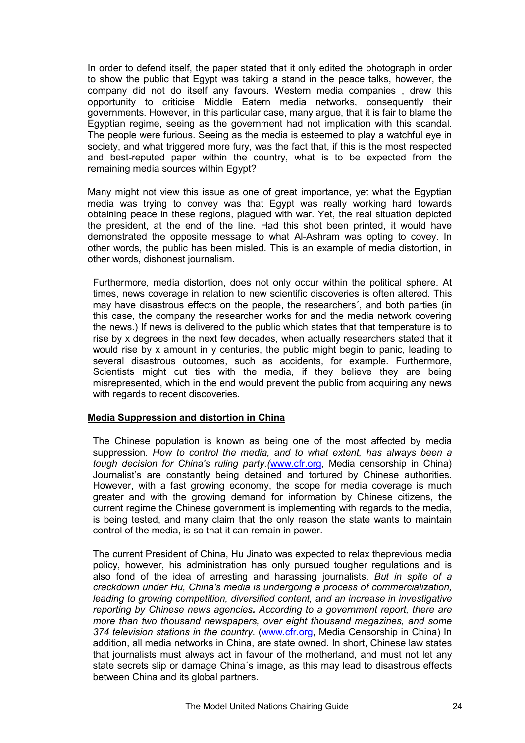In order to defend itself, the paper stated that it only edited the photograph in order to show the public that Egypt was taking a stand in the peace talks, however, the company did not do itself any favours. Western media companies , drew this opportunity to criticise Middle Eatern media networks, consequently their governments. However, in this particular case, many argue, that it is fair to blame the Egyptian regime, seeing as the government had not implication with this scandal. The people were furious. Seeing as the media is esteemed to play a watchful eye in society, and what triggered more fury, was the fact that, if this is the most respected and best-reputed paper within the country, what is to be expected from the remaining media sources within Egypt?

Many might not view this issue as one of great importance, yet what the Egyptian media was trying to convey was that Egypt was really working hard towards obtaining peace in these regions, plagued with war. Yet, the real situation depicted the president, at the end of the line. Had this shot been printed, it would have demonstrated the opposite message to what Al-Ashram was opting to covey. In other words, the public has been misled. This is an example of media distortion, in other words, dishonest journalism.

Furthermore, media distortion, does not only occur within the political sphere. At times, news coverage in relation to new scientific discoveries is often altered. This may have disastrous effects on the people, the researchers´, and both parties (in this case, the company the researcher works for and the media network covering the news.) If news is delivered to the public which states that that temperature is to rise by x degrees in the next few decades, when actually researchers stated that it would rise by x amount in y centuries, the public might begin to panic, leading to several disastrous outcomes, such as accidents, for example. Furthermore, Scientists might cut ties with the media, if they believe they are being misrepresented, which in the end would prevent the public from acquiring any news with regards to recent discoveries.

#### **Media Suppression and distortion in China**

The Chinese population is known as being one of the most affected by media suppression. *How to control the media, and to what extent, has always been a tough decision for China's ruling party.(*[www.cfr.org,](http://www.cfr.org/) Media censorship in China) Journalist's are constantly being detained and tortured by Chinese authorities. However, with a fast growing economy, the scope for media coverage is much greater and with the growing demand for information by Chinese citizens, the current regime the Chinese government is implementing with regards to the media, is being tested, and many claim that the only reason the state wants to maintain control of the media, is so that it can remain in power.

The current President of China, Hu Jinato was expected to relax theprevious media policy, however, his administration has only pursued tougher regulations and is also fond of the idea of arresting and harassing journalists. *But in spite of a crackdown under Hu, China's media is undergoing a process of commercialization, leading to growing competition, diversified content, and an increase in investigative reporting by Chinese news agencies. According to a [government report,](http://english.gov.cn/2006-02/08/content_182637.htm) there are more than two thousand newspapers, over eight thousand magazines, and some 374 television stations in the country*. ([www.cfr.org,](http://www.cfr.org/) Media Censorship in China) In addition, all media networks in China, are state owned. In short, Chinese law states that journalists must always act in favour of the motherland, and must not let any state secrets slip or damage China´s image, as this may lead to disastrous effects between China and its global partners.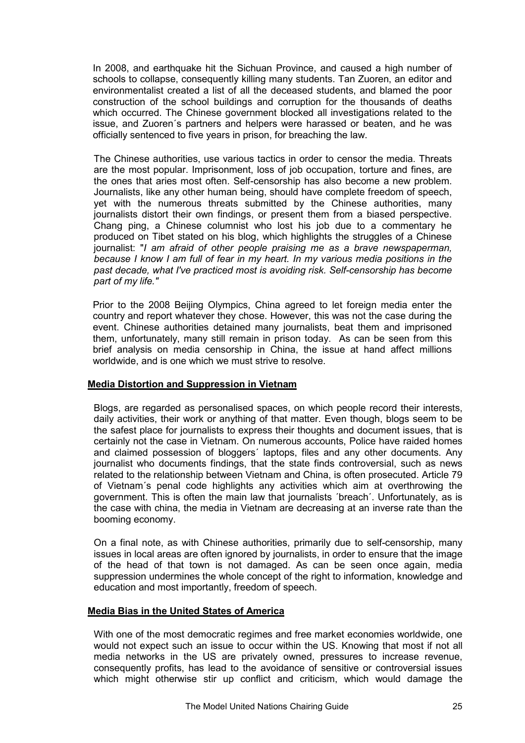In 2008, and earthquake hit the Sichuan Province, and caused a high number of schools to collapse, consequently killing many students. Tan Zuoren, an editor and environmentalist created a list of all the deceased students, and blamed the poor construction of the school buildings and corruption for the thousands of deaths which occurred. The Chinese government blocked all investigations related to the issue, and Zuoren´s partners and helpers were harassed or beaten, and he was officially sentenced to five years in prison, for breaching the law.

The Chinese authorities, use various tactics in order to censor the media. Threats are the most popular. Imprisonment, loss of job occupation, torture and fines, are the ones that aries most often. Self-censorship has also become a new problem. Journalists, like any other human being, should have complete freedom of speech, yet with the numerous threats submitted by the Chinese authorities, many journalists distort their own findings, or present them from a biased perspective. Chang ping, a Chinese columnist who lost his job due to a commentary he produced on Tibet stated on his blog, which highlights the struggles of a Chinese journalist: "*I am afraid of other people praising me as a brave newspaperman, because I know I am full of fear in my heart. In my various media positions in the past decade, what I've practiced most is avoiding risk. Self-censorship has become part of my life."* 

Prior to the 2008 Beijing Olympics, China agreed to let foreign media enter the country and report whatever they chose. However, this was not the case during the event. Chinese authorities detained many journalists, beat them and imprisoned them, unfortunately, many still remain in prison today. As can be seen from this brief analysis on media censorship in China, the issue at hand affect millions worldwide, and is one which we must strive to resolve.

#### **Media Distortion and Suppression in Vietnam**

Blogs, are regarded as personalised spaces, on which people record their interests, daily activities, their work or anything of that matter. Even though, blogs seem to be the safest place for journalists to express their thoughts and document issues, that is certainly not the case in Vietnam. On numerous accounts, Police have raided homes and claimed possession of bloggers´ laptops, files and any other documents. Any journalist who documents findings, that the state finds controversial, such as news related to the relationship between Vietnam and China, is often prosecuted. Article 79 of Vietnam´s penal code highlights any activities which aim at overthrowing the government. This is often the main law that journalists ´breach´. Unfortunately, as is the case with china, the media in Vietnam are decreasing at an inverse rate than the booming economy.

On a final note, as with Chinese authorities, primarily due to self-censorship, many issues in local areas are often ignored by journalists, in order to ensure that the image of the head of that town is not damaged. As can be seen once again, media suppression undermines the whole concept of the right to information, knowledge and education and most importantly, freedom of speech.

#### **Media Bias in the United States of America**

With one of the most democratic regimes and free market economies worldwide, one would not expect such an issue to occur within the US. Knowing that most if not all media networks in the US are privately owned, pressures to increase revenue, consequently profits, has lead to the avoidance of sensitive or controversial issues which might otherwise stir up conflict and criticism, which would damage the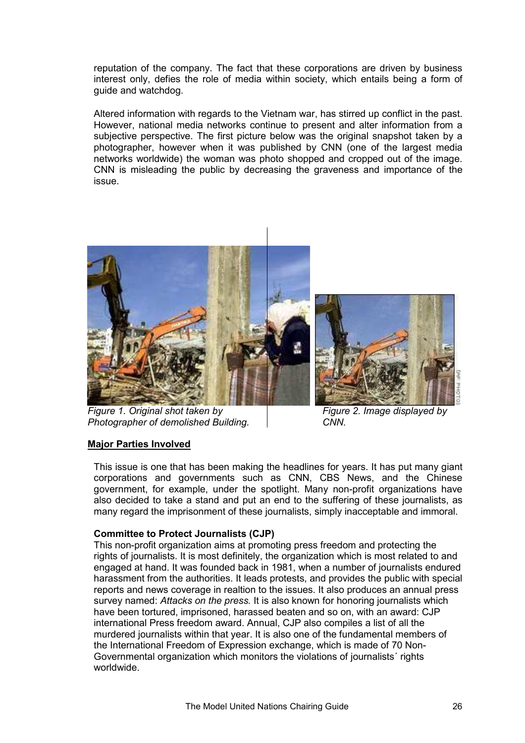reputation of the company. The fact that these corporations are driven by business interest only, defies the role of media within society, which entails being a form of guide and watchdog.

Altered information with regards to the Vietnam war, has stirred up conflict in the past. However, national media networks continue to present and alter information from a subjective perspective. The first picture below was the original snapshot taken by a photographer, however when it was published by CNN (one of the largest media networks worldwide) the woman was photo shopped and cropped out of the image. CNN is misleading the public by decreasing the graveness and importance of the issue.



*Figure 1. Original shot taken by Figure 2. Image displayed by*  **Photographer of demolished Building. CNN.** 



#### **Major Parties Involved**

This issue is one that has been making the headlines for years. It has put many giant corporations and governments such as CNN, CBS News, and the Chinese government, for example, under the spotlight. Many non-profit organizations have also decided to take a stand and put an end to the suffering of these journalists, as many regard the imprisonment of these journalists, simply inacceptable and immoral.

#### **Committee to Protect Journalists (CJP)**

This non-profit organization aims at promoting press freedom and protecting the rights of journalists. It is most definitely, the organization which is most related to and engaged at hand. It was founded back in 1981, when a number of journalists endured harassment from the authorities. It leads protests, and provides the public with special reports and news coverage in realtion to the issues. It also produces an annual press survey named: *Attacks on the press.* It is also known for honoring journalists which have been tortured, imprisoned, harassed beaten and so on, with an award: CJP international Press freedom award. Annual, CJP also compiles a list of all the murdered journalists within that year. It is also one of the fundamental members of the International Freedom of Expression exchange, which is made of 70 Non-Governmental organization which monitors the violations of journalists´ rights worldwide.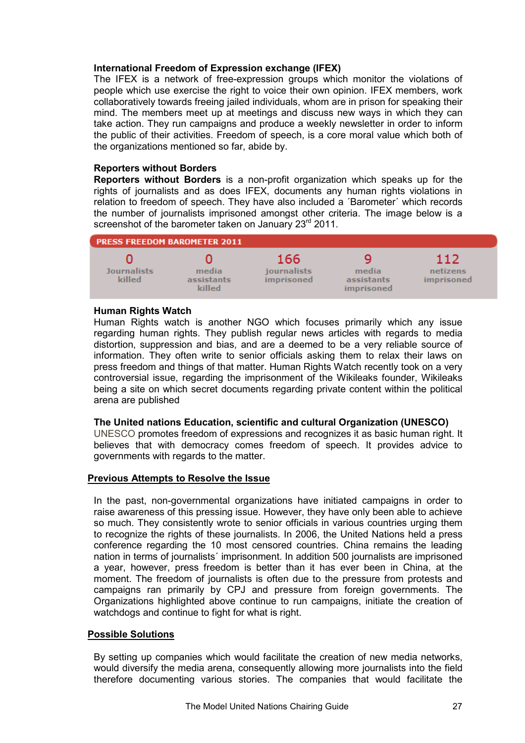#### **International Freedom of Expression exchange (IFEX)**

The IFEX is a network of free-expression groups which monitor the violations of people which use exercise the right to voice their own opinion. IFEX members, work collaboratively towards freeing jailed individuals, whom are in prison for speaking their mind. The members meet up at meetings and discuss new ways in which they can take action. They run campaigns and produce a weekly newsletter in order to inform the public of their activities. Freedom of speech, is a core moral value which both of the organizations mentioned so far, abide by.

#### **Reporters without Borders**

**Reporters without Borders** is a non-profit organization which speaks up for the rights of journalists and as does IFEX, documents any human rights violations in relation to freedom of speech. They have also included a ´Barometer´ which records the number of journalists imprisoned amongst other criteria. The image below is a screenshot of the barometer taken on January 23<sup>rd</sup> 2011.

| <b>PRESS FREEDOM BAROMETER 2011</b> |                               |                                                |                                   |                               |
|-------------------------------------|-------------------------------|------------------------------------------------|-----------------------------------|-------------------------------|
| <b>Journalists</b><br>killed        | media<br>assistants<br>killed | 166<br><i>iournalists</i><br><i>imprisoned</i> | media<br>assistants<br>imprisoned | 112<br>netizens<br>imprisoned |

#### **Human Rights Watch**

Human Rights watch is another NGO which focuses primarily which any issue regarding human rights. They publish regular news articles with regards to media distortion, suppression and bias, and are a deemed to be a very reliable source of information. They often write to senior officials asking them to relax their laws on press freedom and things of that matter. Human Rights Watch recently took on a very controversial issue, regarding the imprisonment of the Wikileaks founder, Wikileaks being a site on which secret documents regarding private content within the political arena are published

#### **The United nations Education, scientific and cultural Organization (UNESCO)**

UNESCO promotes freedom of expressions and recognizes it as basic human right. It believes that with democracy comes freedom of speech. It provides advice to governments with regards to the matter.

#### **Previous Attempts to Resolve the Issue**

In the past, non-governmental organizations have initiated campaigns in order to raise awareness of this pressing issue. However, they have only been able to achieve so much. They consistently wrote to senior officials in various countries urging them to recognize the rights of these journalists. In 2006, the United Nations held a press conference regarding the 10 most censored countries. China remains the leading nation in terms of journalists´ imprisonment. In addition 500 journalists are imprisoned a year, however, press freedom is better than it has ever been in China, at the moment. The freedom of journalists is often due to the pressure from protests and campaigns ran primarily by CPJ and pressure from foreign governments. The Organizations highlighted above continue to run campaigns, initiate the creation of watchdogs and continue to fight for what is right.

#### **Possible Solutions**

By setting up companies which would facilitate the creation of new media networks, would diversify the media arena, consequently allowing more journalists into the field therefore documenting various stories. The companies that would facilitate the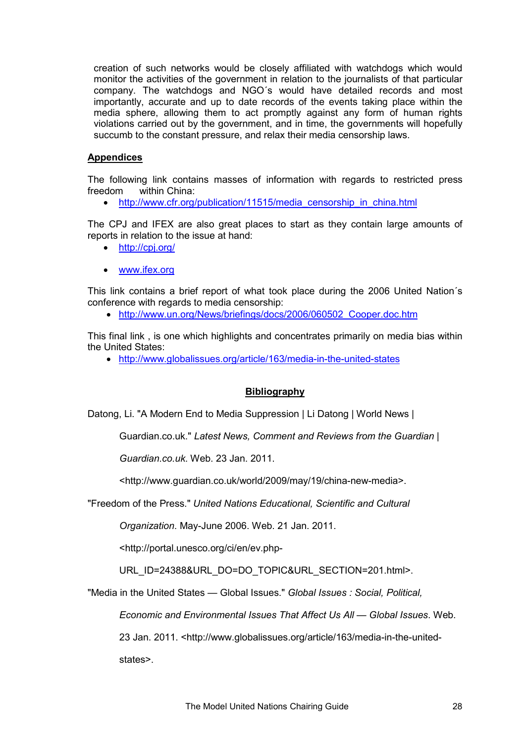creation of such networks would be closely affiliated with watchdogs which would monitor the activities of the government in relation to the journalists of that particular company. The watchdogs and NGO´s would have detailed records and most importantly, accurate and up to date records of the events taking place within the media sphere, allowing them to act promptly against any form of human rights violations carried out by the government, and in time, the governments will hopefully succumb to the constant pressure, and relax their media censorship laws.

#### **Appendices**

The following link contains masses of information with regards to restricted press freedom within China:

• http://www.cfr.org/publication/11515/media censorship in china.html

The CPJ and IFEX are also great places to start as they contain large amounts of reports in relation to the issue at hand:

- <http://cpj.org/>
- [www.ifex.org](http://www.ifex.org/)

This link contains a brief report of what took place during the 2006 United Nation´s conference with regards to media censorship:

• [http://www.un.org/News/briefings/docs/2006/060502\\_Cooper.doc.htm](http://www.un.org/News/briefings/docs/2006/060502_Cooper.doc.htm)

This final link , is one which highlights and concentrates primarily on media bias within the United States:

• <http://www.globalissues.org/article/163/media-in-the-united-states>

#### **Bibliography**

Datong, Li. "A Modern End to Media Suppression | Li Datong | World News |

Guardian.co.uk." *Latest News, Comment and Reviews from the Guardian |* 

*Guardian.co.uk*. Web. 23 Jan. 2011.

<http://www.guardian.co.uk/world/2009/may/19/china-new-media>.

"Freedom of the Press." *United Nations Educational, Scientific and Cultural* 

*Organization*. May-June 2006. Web. 21 Jan. 2011.

<http://portal.unesco.org/ci/en/ev.php-

URL\_ID=24388&URL\_DO=DO\_TOPIC&URL\_SECTION=201.html>.

"Media in the United States — Global Issues." *Global Issues : Social, Political,* 

*Economic and Environmental Issues That Affect Us All — Global Issues*. Web.

23 Jan. 2011. <http://www.globalissues.org/article/163/media-in-the-united-

states>.